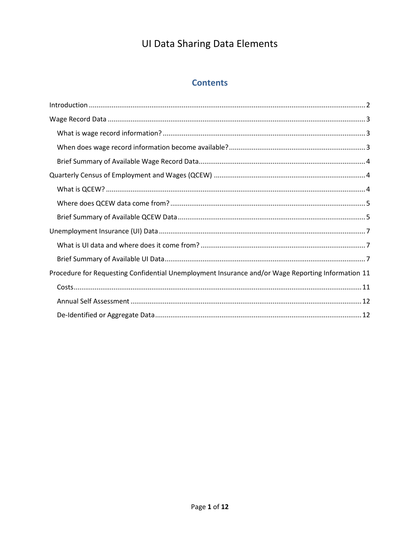### **Contents**

| Procedure for Requesting Confidential Unemployment Insurance and/or Wage Reporting Information 11 |
|---------------------------------------------------------------------------------------------------|
|                                                                                                   |
|                                                                                                   |
|                                                                                                   |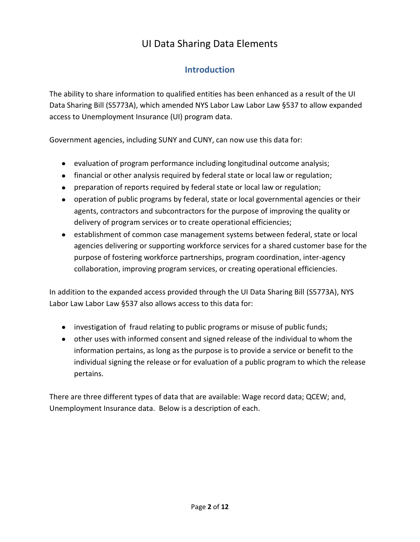## **Introduction**

The ability to share information to qualified entities has been enhanced as a result of the UI Data Sharing Bill (S5773A), which amended NYS Labor Law Labor Law §537 to allow expanded access to Unemployment Insurance (UI) program data.

Government agencies, including SUNY and CUNY, can now use this data for:

- evaluation of program performance including longitudinal outcome analysis;
- financial or other analysis required by federal state or local law or regulation;
- preparation of reports required by federal state or local law or regulation;
- operation of public programs by federal, state or local governmental agencies or their agents, contractors and subcontractors for the purpose of improving the quality or delivery of program services or to create operational efficiencies;
- establishment of common case management systems between federal, state or local agencies delivering or supporting workforce services for a shared customer base for the purpose of fostering workforce partnerships, program coordination, inter-agency collaboration, improving program services, or creating operational efficiencies.

In addition to the expanded access provided through the UI Data Sharing Bill (S5773A), NYS Labor Law Labor Law §537 also allows access to this data for:

- investigation of fraud relating to public programs or misuse of public funds;
- other uses with informed consent and signed release of the individual to whom the information pertains, as long as the purpose is to provide a service or benefit to the individual signing the release or for evaluation of a public program to which the release pertains.

There are three different types of data that are available: Wage record data; QCEW; and, Unemployment Insurance data. Below is a description of each.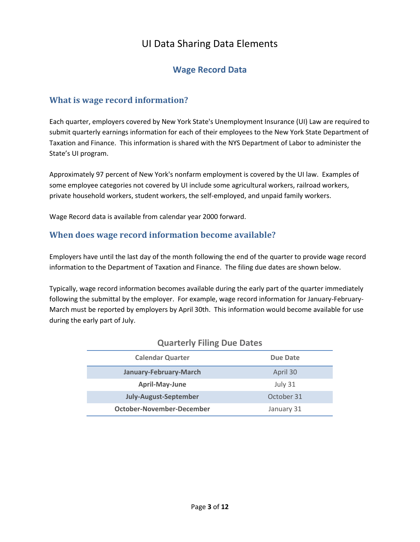### **Wage Record Data**

### **What is wage record information?**

Each quarter, employers covered by New York State's Unemployment Insurance (UI) Law are required to submit quarterly earnings information for each of their employees to the New York State Department of Taxation and Finance. This information is shared with the NYS Department of Labor to administer the State's UI program.

Approximately 97 percent of New York's nonfarm employment is covered by the UI law. Examples of some employee categories not covered by UI include some agricultural workers, railroad workers, private household workers, student workers, the self-employed, and unpaid family workers.

Wage Record data is available from calendar year 2000 forward.

### **When does wage record information become available?**

Employers have until the last day of the month following the end of the quarter to provide wage record information to the Department of Taxation and Finance. The filing due dates are shown below.

Typically, wage record information becomes available during the early part of the quarter immediately following the submittal by the employer. For example, wage record information for January-February-March must be reported by employers by April 30th. This information would become available for use during the early part of July.

| <b>Calendar Quarter</b>      | Due Date   |
|------------------------------|------------|
| January-February-March       | April 30   |
| April-May-June               | July 31    |
| <b>July-August-September</b> | October 31 |
| October-November-December    | January 31 |

#### **Quarterly Filing Due Dates**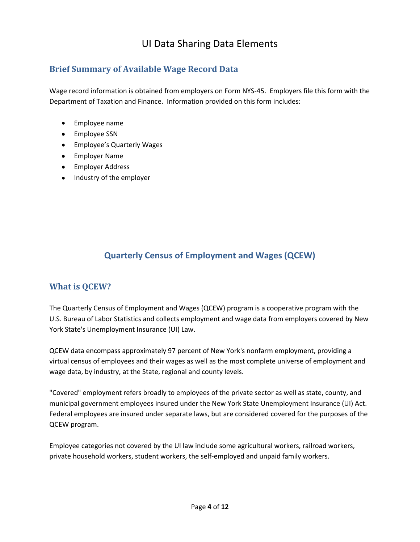### **Brief Summary of Available Wage Record Data**

Wage record information is obtained from employers on Form NYS-45. Employers file this form with the Department of Taxation and Finance. Information provided on this form includes:

- Employee name
- Employee SSN
- Employee's Quarterly Wages
- Employer Name
- Employer Address
- Industry of the employer

## **Quarterly Census of Employment and Wages (QCEW)**

### **What is QCEW?**

The Quarterly Census of Employment and Wages (QCEW) program is a cooperative program with the U.S. Bureau of Labor Statistics and collects employment and wage data from employers covered by New York State's Unemployment Insurance (UI) Law.

QCEW data encompass approximately 97 percent of New York's nonfarm employment, providing a virtual census of employees and their wages as well as the most complete universe of employment and wage data, by industry, at the State, regional and county levels.

"Covered" employment refers broadly to employees of the private sector as well as state, county, and municipal government employees insured under the New York State Unemployment Insurance (UI) Act. Federal employees are insured under separate laws, but are considered covered for the purposes of the QCEW program.

Employee categories not covered by the UI law include some agricultural workers, railroad workers, private household workers, student workers, the self-employed and unpaid family workers.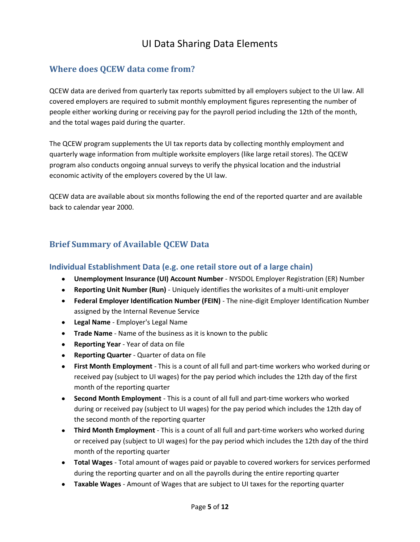## **Where does QCEW data come from?**

QCEW data are derived from quarterly tax reports submitted by all employers subject to the UI law. All covered employers are required to submit monthly employment figures representing the number of people either working during or receiving pay for the payroll period including the 12th of the month, and the total wages paid during the quarter.

The QCEW program supplements the UI tax reports data by collecting monthly employment and quarterly wage information from multiple worksite employers (like large retail stores). The QCEW program also conducts ongoing annual surveys to verify the physical location and the industrial economic activity of the employers covered by the UI law.

QCEW data are available about six months following the end of the reported quarter and are available back to calendar year 2000.

## **Brief Summary of Available QCEW Data**

#### **Individual Establishment Data (e.g. one retail store out of a large chain)**

- **Unemployment Insurance (UI) Account Number** NYSDOL Employer Registration (ER) Number
- **Reporting Unit Number (Run)** Uniquely identifies the worksites of a multi-unit employer
- **Federal Employer Identification Number (FEIN)** The nine-digit Employer Identification Number assigned by the Internal Revenue Service
- **Legal Name** Employer's Legal Name
- **Trade Name** Name of the business as it is known to the public
- **Reporting Year** Year of data on file
- **Reporting Quarter** Quarter of data on file
- **First Month Employment** This is a count of all full and part-time workers who worked during or received pay (subject to UI wages) for the pay period which includes the 12th day of the first month of the reporting quarter
- **Second Month Employment** This is a count of all full and part-time workers who worked during or received pay (subject to UI wages) for the pay period which includes the 12th day of the second month of the reporting quarter
- **Third Month Employment** This is a count of all full and part-time workers who worked during or received pay (subject to UI wages) for the pay period which includes the 12th day of the third month of the reporting quarter
- **Total Wages** Total amount of wages paid or payable to covered workers for services performed during the reporting quarter and on all the payrolls during the entire reporting quarter
- **Taxable Wages** Amount of Wages that are subject to UI taxes for the reporting quarter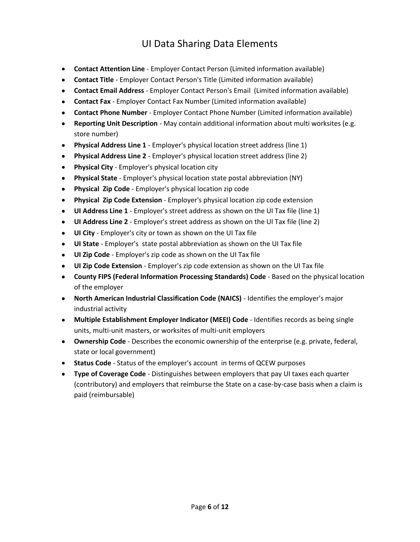- **Contact Attention Line** Employer Contact Person (Limited information available)
- **Contact Title** Employer Contact Person's Title (Limited information available)
- **Contact Email Address** Employer Contact Person's Email (Limited information available)
- **Contact Fax** Employer Contact Fax Number (Limited information available)
- **Contact Phone Number** Employer Contact Phone Number (Limited information available)
- **Reporting Unit Description** May contain additional information about multi worksites (e.g. store number)
- **Physical Address Line 1** Employer's physical location street address (line 1)
- **Physical Address Line 2** Employer's physical location street address (line 2)  $\bullet$
- **Physical City** Employer's physical location city
- **Physical State** Employer's physical location state postal abbreviation (NY)  $\bullet$
- **Physical Zip Code** Employer's physical location zip code
- **Physical Zip Code Extension** Employer's physical location zip code extension  $\bullet$
- **UI Address Line 1** Employer's street address as shown on the UI Tax file (line 1)
- **UI Address Line 2** Employer's street address as shown on the UI Tax file (line 2)  $\bullet$
- **UI City** Employer's city or town as shown on the UI Tax file
- **UI State** Employer's state postal abbreviation as shown on the UI Tax file
- **UI Zip Code** Employer's zip code as shown on the UI Tax file
- **UI Zip Code Extension** Employer's zip code extension as shown on the UI Tax file
- **County FIPS (Federal Information Processing Standards) Code** Based on the physical location of the employer
- **North American Industrial Classification Code (NAICS)** Identifies the employer's major industrial activity
- **Multiple Establishment Employer Indicator (MEEI) Code** Identifies records as being single units, multi-unit masters, or worksites of multi-unit employers
- **Ownership Code** Describes the economic ownership of the enterprise (e.g. private, federal, state or local government)
- **Status Code** Status of the employer's account in terms of QCEW purposes
- **Type of Coverage Code** Distinguishes between employers that pay UI taxes each quarter (contributory) and employers that reimburse the State on a case-by-case basis when a claim is paid (reimbursable)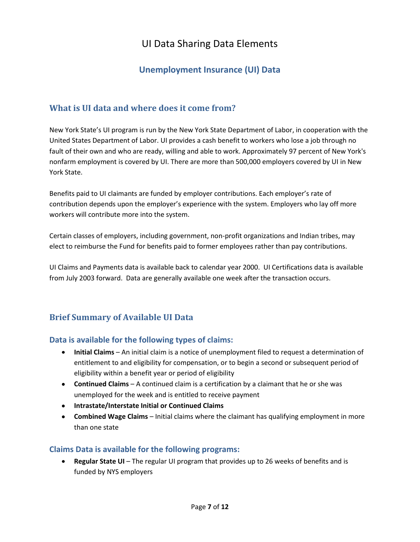## **Unemployment Insurance (UI) Data**

### **What is UI data and where does it come from?**

New York State's UI program is run by the New York State Department of Labor, in cooperation with the United States Department of Labor. UI provides a cash benefit to workers who lose a job through no fault of their own and who are ready, willing and able to work. Approximately 97 percent of New York's nonfarm employment is covered by UI. There are more than 500,000 employers covered by UI in New York State.

Benefits paid to UI claimants are funded by employer contributions. Each employer's rate of contribution depends upon the employer's experience with the system. Employers who lay off more workers will contribute more into the system.

Certain classes of employers, including government, non-profit organizations and Indian tribes, may elect to reimburse the Fund for benefits paid to former employees rather than pay contributions.

UI Claims and Payments data is available back to calendar year 2000. UI Certifications data is available from July 2003 forward. Data are generally available one week after the transaction occurs.

### **Brief Summary of Available UI Data**

#### **Data is available for the following types of claims:**

- **Initial Claims** An initial claim is a notice of unemployment filed to request a determination of entitlement to and eligibility for compensation, or to begin a second or subsequent period of eligibility within a benefit year or period of eligibility
- **Continued Claims** A continued claim is a certification by a claimant that he or she was unemployed for the week and is entitled to receive payment
- **Intrastate/Interstate Initial or Continued Claims**
- **Combined Wage Claims** Initial claims where the claimant has qualifying employment in more than one state

#### **Claims Data is available for the following programs:**

 $\bullet$ **Regular State UI** – The regular UI program that provides up to 26 weeks of benefits and is funded by NYS employers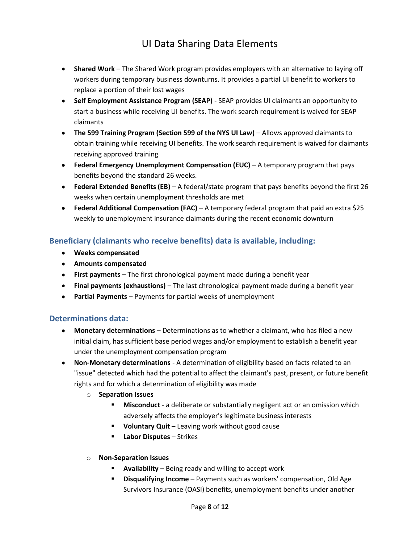- **Shared Work** The Shared Work program provides employers with an alternative to laying off workers during temporary business downturns. It provides a partial UI benefit to workers to replace a portion of their lost wages
- **Self Employment Assistance Program (SEAP)** SEAP provides UI claimants an opportunity to start a business while receiving UI benefits. The work search requirement is waived for SEAP claimants
- **The 599 Training Program (Section 599 of the NYS UI Law)** Allows approved claimants to obtain training while receiving UI benefits. The work search requirement is waived for claimants receiving approved training
- **Federal Emergency Unemployment Compensation (EUC)** A temporary program that pays benefits beyond the standard 26 weeks.
- **Federal Extended Benefits (EB)** A federal/state program that pays benefits beyond the first 26 weeks when certain unemployment thresholds are met
- **Federal Additional Compensation (FAC)** A temporary federal program that paid an extra \$25 weekly to unemployment insurance claimants during the recent economic downturn

### **Beneficiary (claimants who receive benefits) data is available, including:**

- **Weeks compensated**
- **Amounts compensated**
- **First payments** The first chronological payment made during a benefit year
- **Final payments (exhaustions)** The last chronological payment made during a benefit year
- **Partial Payments** Payments for partial weeks of unemployment

#### **Determinations data:**

- **Monetary determinations** Determinations as to whether a claimant, who has filed a new initial claim, has sufficient base period wages and/or employment to establish a benefit year under the unemployment compensation program
- **Non-Monetary determinations** A determination of eligibility based on facts related to an "issue" detected which had the potential to affect the claimant's past, present, or future benefit rights and for which a determination of eligibility was made
	- o **Separation Issues**
		- **Misconduct** a deliberate or substantially negligent act or an omission which adversely affects the employer's legitimate business interests
		- **Voluntary Quit** Leaving work without good cause
		- **Labor Disputes** Strikes
	- o **Non-Separation Issues**
		- **Availability** Being ready and willing to accept work
		- **Disqualifying Income** Payments such as workers' compensation, Old Age Survivors Insurance (OASI) benefits, unemployment benefits under another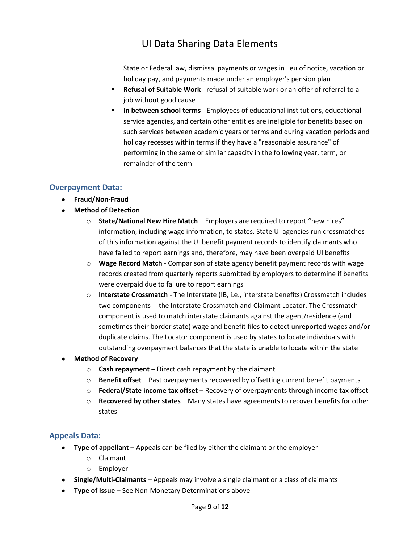State or Federal law, dismissal payments or wages in lieu of notice, vacation or holiday pay, and payments made under an employer's pension plan

- **Refusal of Suitable Work** refusal of suitable work or an offer of referral to a job without good cause
- **In between school terms** Employees of educational institutions, educational service agencies, and certain other entities are ineligible for benefits based on such services between academic years or terms and during vacation periods and holiday recesses within terms if they have a "reasonable assurance" of performing in the same or similar capacity in the following year, term, or remainder of the term

#### **Overpayment Data:**

- **Fraud/Non-Fraud**
- **Method of Detection**
	- o **State/National New Hire Match** Employers are required to report "new hires" information, including wage information, to states. State UI agencies run crossmatches of this information against the UI benefit payment records to identify claimants who have failed to report earnings and, therefore, may have been overpaid UI benefits
	- o **Wage Record Match** Comparison of state agency benefit payment records with wage records created from quarterly reports submitted by employers to determine if benefits were overpaid due to failure to report earnings
	- o **Interstate Crossmatch** The Interstate (IB, i.e., interstate benefits) Crossmatch includes two components -- the Interstate Crossmatch and Claimant Locator. The Crossmatch component is used to match interstate claimants against the agent/residence (and sometimes their border state) wage and benefit files to detect unreported wages and/or duplicate claims. The Locator component is used by states to locate individuals with outstanding overpayment balances that the state is unable to locate within the state
- **Method of Recovery**
	- o **Cash repayment** Direct cash repayment by the claimant
	- o **Benefit offset** Past overpayments recovered by offsetting current benefit payments
	- o **Federal/State income tax offset** Recovery of overpayments through income tax offset
	- o **Recovered by other states** Many states have agreements to recover benefits for other states

#### **Appeals Data:**

- **Type of appellant** Appeals can be filed by either the claimant or the employer
	- o Claimant
	- o Employer
- **Single/Multi-Claimants** Appeals may involve a single claimant or a class of claimants
- **Type of Issue** See Non-Monetary Determinations above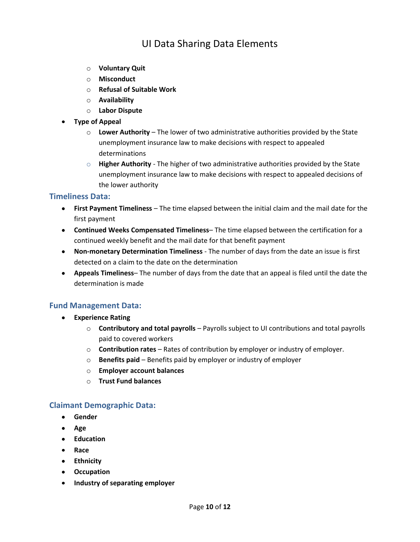- o **Voluntary Quit**
- o **Misconduct**
- o **Refusal of Suitable Work**
- o **Availability**
- o **Labor Dispute**
- **Type of Appeal**
	- o **Lower Authority** The lower of two administrative authorities provided by the State unemployment insurance law to make decisions with respect to appealed determinations
	- o **Higher Authority** The higher of two administrative authorities provided by the State unemployment insurance law to make decisions with respect to appealed decisions of the lower authority

#### **Timeliness Data:**

- **First Payment Timeliness** The time elapsed between the initial claim and the mail date for the first payment
- **Continued Weeks Compensated Timeliness** The time elapsed between the certification for a continued weekly benefit and the mail date for that benefit payment
- **Non-monetary Determination Timeliness** The number of days from the date an issue is first detected on a claim to the date on the determination
- **Appeals Timeliness** The number of days from the date that an appeal is filed until the date the determination is made

#### **Fund Management Data:**

- **Experience Rating**
	- o **Contributory and total payrolls** Payrolls subject to UI contributions and total payrolls paid to covered workers
	- o **Contribution rates** Rates of contribution by employer or industry of employer.
	- o **Benefits paid** Benefits paid by employer or industry of employer
	- o **Employer account balances**
	- o **Trust Fund balances**

#### **Claimant Demographic Data:**

- $\bullet$ **Gender**
- **Age**
- **•** Education
- **Race**
- **Ethnicity**
- **Occupation**
- **Industry of separating employer**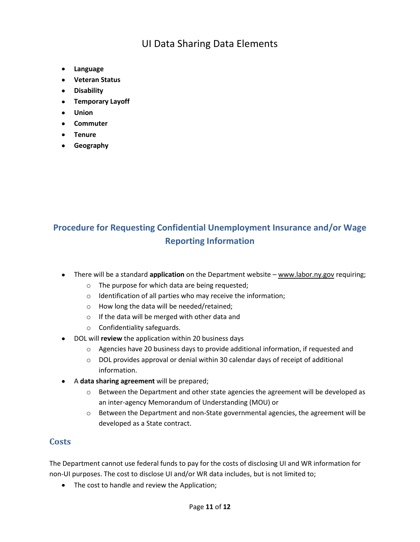- **Language**
- **Veteran Status**
- **Disability**
- **Temporary Layoff**
- **Union**
- **Commuter**
- **Tenure**
- **Geography**

## **Procedure for Requesting Confidential Unemployment Insurance and/or Wage Reporting Information**

- There will be a standard **application** on the Department website www.labor.ny.gov requiring;
	- o The purpose for which data are being requested;
	- o Identification of all parties who may receive the information;
	- o How long the data will be needed/retained;
	- o If the data will be merged with other data and
	- o Confidentiality safeguards.
- DOL will **review** the application within 20 business days
	- $\circ$  Agencies have 20 business days to provide additional information, if requested and
	- o DOL provides approval or denial within 30 calendar days of receipt of additional information.
- A **data sharing agreement** will be prepared;
	- $\circ$  Between the Department and other state agencies the agreement will be developed as an inter-agency Memorandum of Understanding (MOU) or
	- $\circ$  Between the Department and non-State governmental agencies, the agreement will be developed as a State contract.

### **Costs**

The Department cannot use federal funds to pay for the costs of disclosing UI and WR information for non-UI purposes. The cost to disclose UI and/or WR data includes, but is not limited to;

• The cost to handle and review the Application;